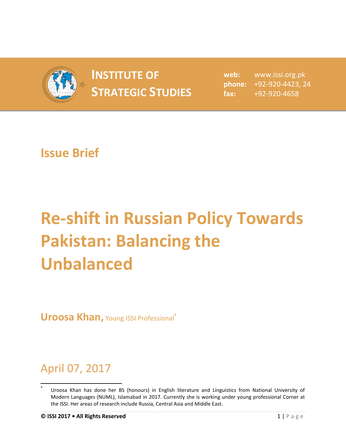

## **INSTITUTE OF INSTITUTE OF** web:<br> **STRATEGIC STUDIES**  $\begin{matrix} \text{phone:} \\ \text{false:} \end{matrix}$

**web:** www.issi.org.pk **phone:** +92-920-4423, 24 **fax:** +92-920-4658

## **Issue Brief**

## **Re-shift in Russian Policy Towards Pakistan: Balancing the Unbalanced**

**Uroosa Khan,** Young ISSI Professional**\***

## April 07, 2017

 $\overline{\phantom{a}}$ **\*** Uroosa Khan has done her BS (honours) in English literature and Linguistics from National University of Modern Languages (NUML), Islamabad in 2017. Currently she is working under young professional Corner at the ISSI. Her areas of research include Russia, Central Asia and Middle East.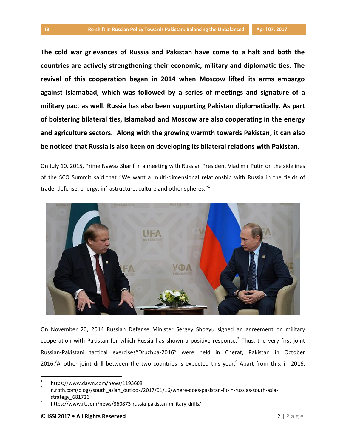**The cold war grievances of Russia and Pakistan have come to a halt and both the countries are actively strengthening their economic, military and diplomatic ties. The revival of this cooperation began in 2014 when Moscow lifted its arms embargo against Islamabad, which was followed by a series of meetings and signature of a military pact as well. Russia has also been supporting Pakistan diplomatically. As part of bolstering bilateral ties, Islamabad and Moscow are also cooperating in the energy and agriculture sectors. Along with the growing warmth towards Pakistan, it can also be noticed that Russia is also keen on developing its bilateral relations with Pakistan.**

On July 10, 2015, Prime Nawaz Sharif in a meeting with Russian President Vladimir Putin on the sidelines of the SCO Summit said that "We want a multi-dimensional relationship with Russia in the fields of trade, defense, energy, infrastructure, culture and other spheres."<sup>1</sup>



On November 20, 2014 Russian Defense Minister Sergey Shogyu signed an agreement on military cooperation with Pakistan for which Russia has shown a positive response.<sup>2</sup> Thus, the very first joint Russian-Pakistani tactical exercises"Druzhba-2016" were held in Cherat, Pakistan in October 2016. $3$ Another joint drill between the two countries is expected this year. $4$  Apart from this, in 2016,

 $\overline{a}$ 

<sup>1</sup> https://www.dawn.com/news/1193608

<sup>2</sup> n.rbth.com/blogs/south\_asian\_outlook/2017/01/16/where-does-pakistan-fit-in-russias-south-asiastrategy\_681726

<sup>3</sup> https://www.rt.com/news/360873-russia-pakistan-military-drills/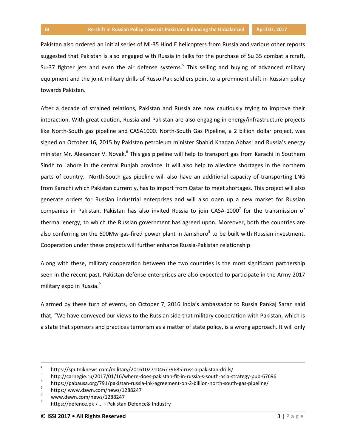Pakistan also ordered an initial series of Mi-35 Hind E helicopters from Russia and various other reports suggested that Pakistan is also engaged with Russia in talks for the purchase of Su 35 combat aircraft, Su-37 fighter jets and even the air defense systems.<sup>5</sup> This selling and buying of advanced military equipment and the joint military drills of Russo-Pak soldiers point to a prominent shift in Russian policy towards Pakistan.

After a decade of strained relations, Pakistan and Russia are now cautiously trying to improve their interaction. With great caution, Russia and Pakistan are also engaging in energy/infrastructure projects like North-South gas pipeline and CASA1000. North-South Gas Pipeline, a 2 billion dollar project, was signed on October 16, 2015 by Pakistan petroleum minister Shahid Khaqan Abbasi and Russia's energy minister Mr. Alexander V. Novak.<sup>6</sup> This gas pipeline will help to transport gas from Karachi in Southern Sindh to Lahore in the central Punjab province. It will also help to alleviate shortages in the northern parts of country. North-South gas pipeline will also have an additional capacity of transporting LNG from Karachi which Pakistan currently, has to import from Qatar to meet shortages. This project will also generate orders for Russian industrial enterprises and will also open up a new market for Russian companies in Pakistan. Pakistan has also invited Russia to join CASA-1000<sup>7</sup> for the transmission of thermal energy, to which the Russian government has agreed upon. Moreover, both the countries are also conferring on the 600Mw gas-fired power plant in Jamshoro<sup>8</sup> to be built with Russian investment. Cooperation under these projects will further enhance Russia-Pakistan relationship

Along with these, military cooperation between the two countries is the most significant partnership seen in the recent past. Pakistan defense enterprises are also expected to participate in the Army 2017 military expo in Russia.<sup>9</sup>

Alarmed by these turn of events, on October 7, 2016 India's ambassador to Russia Pankaj Saran [said](https://sputniknews.com/asia/20161007/1046094889/india-pakistan-russia-military-coopearation.html) that, "We have conveyed our views to the Russian side that military cooperation with Pakistan, which is a state that sponsors and practices terrorism as a matter of state policy, is a wrong approach. It will only

 $\overline{a}$ 

<sup>4</sup> https://sputniknews.com/military/201610271046779685-russia-pakistan-drills/

<sup>5</sup> http://carnegie.ru/2017/01/16/where-does-pakistan-fit-in-russia-s-south-asia-strategy-pub-67696

<sup>6</sup> https://pabausa.org/791/pakistan-russia-ink-agreement-on-2-billion-north-south-gas-pipeline/

<sup>7</sup> https:/ www.dawn.com/news/1288247

<sup>8</sup> www.dawn.com/news/1288247

<sup>9</sup> https://defence.pk › ... › Pakistan Defence& Industry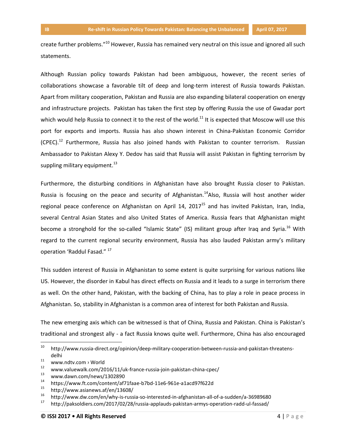create further problems."<sup>10</sup> However, Russia has remained very neutral on this issue and ignored all such statements.

Although Russian policy towards Pakistan had been ambiguous, however, the recent series of collaborations showcase a favorable tilt of deep and long-term interest of Russia towards Pakistan. Apart from military cooperation, Pakistan and Russia are also expanding bilateral cooperation on energy and infrastructure projects. Pakistan has taken the first step by offering Russia the use of Gwadar port which would help Russia to connect it to the rest of the world.<sup>11</sup> It is expected that Moscow will use this port for exports and imports. Russia has also shown interest in China-Pakistan Economic Corridor  $(CPEC).<sup>12</sup>$  Furthermore, Russia has also joined hands with Pakistan to counter terrorism. Russian Ambassador to Pakistan Alexy Y. Dedov has said that Russia will assist Pakistan in fighting terrorism by suppling military equipment. $^{13}$ 

Furthermore, the disturbing conditions in Afghanistan have also brought Russia closer to Pakistan. Russia is focusing on the peace and security of Afghanistan.<sup>14</sup>Also, Russia will host another wider regional peace conference on Afghanistan on April 14, 2017<sup>15</sup> and has invited Pakistan, Iran, India, several Central Asian States and also United States of America. Russia fears that Afghanistan might become a stronghold for the so-called "Islamic State" (IS) militant group after Iraq and Syria.<sup>16</sup> With regard to the current regional security environment, Russia has also lauded Pakistan army's military operation 'Raddul Fasad." <sup>17</sup>

This sudden interest of Russia in Afghanistan to some extent is quite surprising for various nations like US. However, the disorder in Kabul has direct effects on Russia and it leads to a surge in terrorism there as well. On the other hand, Pakistan, with the backing of China, has to play a role in peace process in Afghanistan. So, stability in Afghanistan is a common area of interest for both Pakistan and Russia.

The new emerging axis which can be witnessed is that of China, Russia and Pakistan. China is Pakistan's traditional and strongest ally - a fact Russia knows quite well. Furthermore, China has also encouraged

<sup>10</sup> http://www.russia-direct.org/opinion/deep-military-cooperation-between-russia-and-pakistan-threatensdelhi

<sup>&</sup>lt;sup>11</sup> www.ndtv.com › World

<sup>&</sup>lt;sup>12</sup> www.valuewalk.com/2016/11/uk-france-russia-join-pakistan-china-cpec/<br><sup>13</sup> unuu dayn com/nows/1302800

 $\frac{13}{14}$  www.dawn.com/news/1302890

<sup>&</sup>lt;sup>14</sup> https://www.ft.com/content/af71faae-b7bd-11e6-961e-a1acd97f622d<br><sup>15</sup> http://www.esianove.of/en/12608/

 $15$  http://www.asianews.af/en/13608/<br> $16$  http://www.dw.com/en/why.is-russ

<sup>&</sup>lt;sup>16</sup> http://www.dw.com/en/why-is-russia-so-interested-in-afghanistan-all-of-a-sudden/a-36989680<br><sup>17</sup> http://polacidiers.com/2017/02/28/wassis.comburghanistan.comus.constation.podd.ul.focood/

<sup>17</sup> http://paksoldiers.com/2017/02/28/russia-applauds-pakistan-armys-operation-radd-ul-fassad/